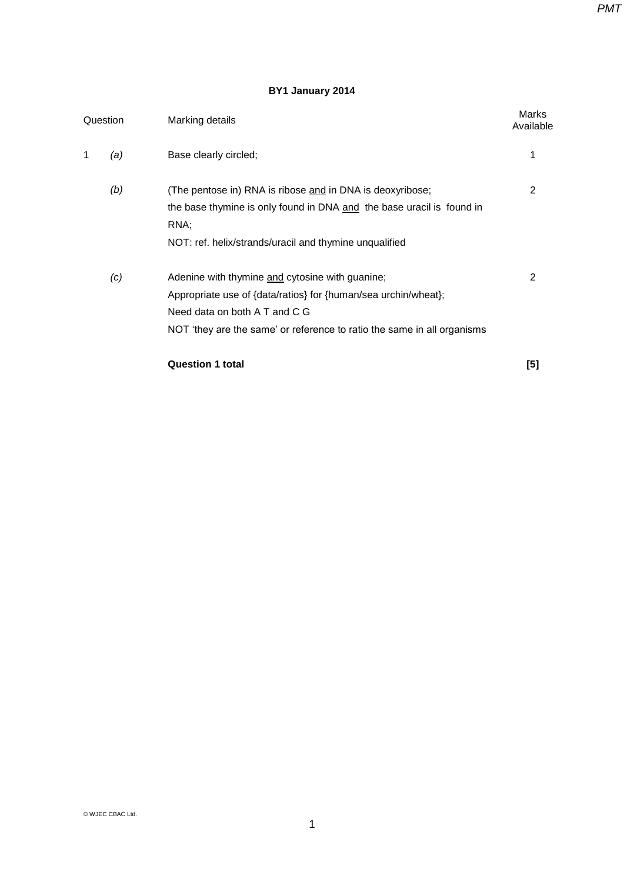# **BY1 January 2014**

|   | Question | Marking details                                                         | Marks<br>Available |
|---|----------|-------------------------------------------------------------------------|--------------------|
| 1 | (a)      | Base clearly circled;                                                   |                    |
|   | (b)      | (The pentose in) RNA is ribose and in DNA is deoxyribose;               | 2                  |
|   |          | the base thymine is only found in DNA and the base uracil is found in   |                    |
|   |          | RNA;                                                                    |                    |
|   |          | NOT: ref. helix/strands/uracil and thymine unqualified                  |                    |
|   | (c)      | Adenine with thymine and cytosine with guanine;                         | 2                  |
|   |          | Appropriate use of {data/ratios} for {human/sea urchin/wheat};          |                    |
|   |          | Need data on both A T and C G                                           |                    |
|   |          | NOT 'they are the same' or reference to ratio the same in all organisms |                    |
|   |          | <b>Question 1 total</b>                                                 | [5]                |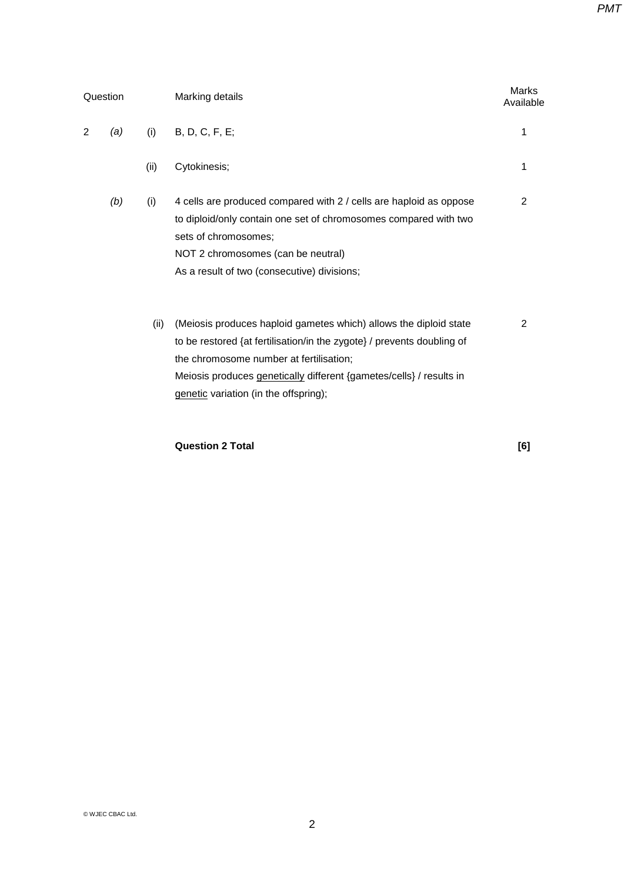| Question |     |      | Marking details                                                                                                                                                                                                                                                                                        |                |
|----------|-----|------|--------------------------------------------------------------------------------------------------------------------------------------------------------------------------------------------------------------------------------------------------------------------------------------------------------|----------------|
| 2        | (a) | (i)  | B, D, C, F, E;                                                                                                                                                                                                                                                                                         | 1              |
|          |     | (ii) | Cytokinesis;                                                                                                                                                                                                                                                                                           | 1              |
|          | (b) | (i)  | 4 cells are produced compared with 2 / cells are haploid as oppose<br>to diploid/only contain one set of chromosomes compared with two<br>sets of chromosomes;<br>NOT 2 chromosomes (can be neutral)<br>As a result of two (consecutive) divisions;                                                    | 2              |
|          |     | (ii) | (Meiosis produces haploid gametes which) allows the diploid state<br>to be restored {at fertilisation/in the zygote} / prevents doubling of<br>the chromosome number at fertilisation;<br>Meiosis produces genetically different {gametes/cells} / results in<br>genetic variation (in the offspring); | $\mathfrak{p}$ |

### **Question 2 Total [6]**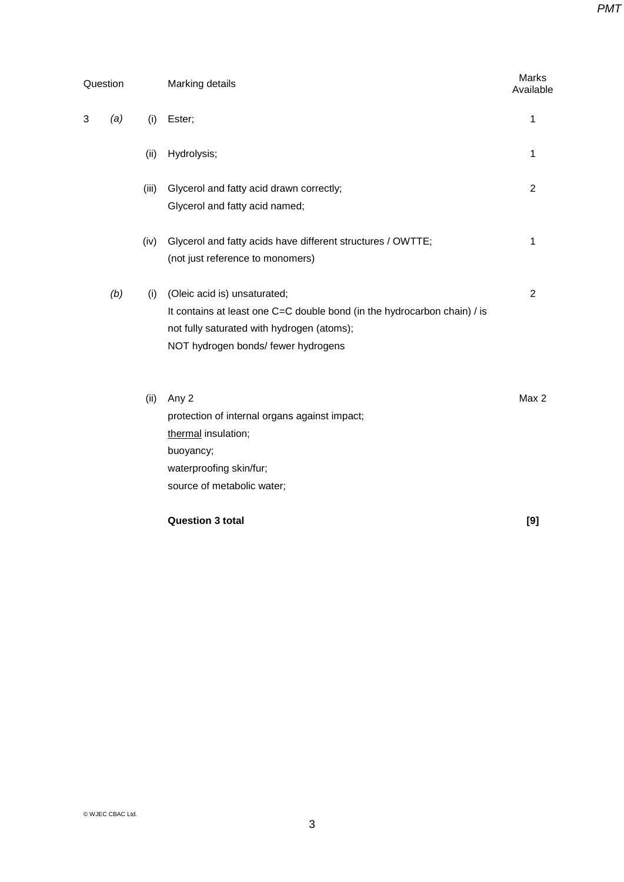| Question |       | Marking details                                                                                                                                                                               |                |
|----------|-------|-----------------------------------------------------------------------------------------------------------------------------------------------------------------------------------------------|----------------|
| 3<br>(a) | (i)   | Ester;                                                                                                                                                                                        | 1              |
|          | (ii)  | Hydrolysis;                                                                                                                                                                                   | 1              |
|          | (iii) | Glycerol and fatty acid drawn correctly;<br>Glycerol and fatty acid named;                                                                                                                    | $\overline{2}$ |
|          | (iv)  | Glycerol and fatty acids have different structures / OWTTE;<br>(not just reference to monomers)                                                                                               | 1              |
| (b)      | (i)   | (Oleic acid is) unsaturated;<br>It contains at least one C=C double bond (in the hydrocarbon chain) / is<br>not fully saturated with hydrogen (atoms);<br>NOT hydrogen bonds/ fewer hydrogens | $\overline{2}$ |
|          | (ii)  | Any 2<br>protection of internal organs against impact;<br>thermal insulation;<br>buoyancy;<br>waterproofing skin/fur;<br>source of metabolic water;                                           | Max 2          |

**Question 3 total [9]**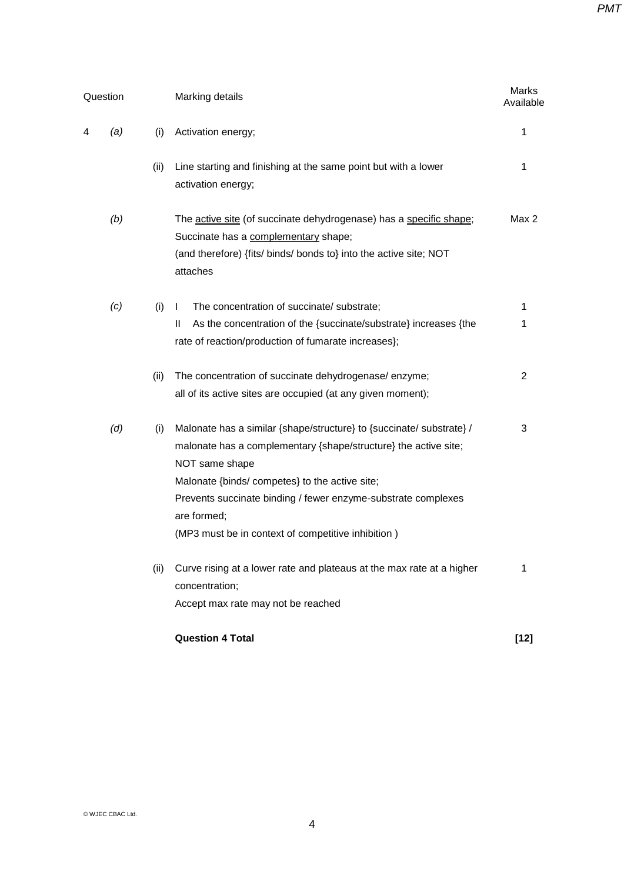|   | Question |      | Marking details                                                                                                                                                                                                                                                                                                                                   | Marks<br>Available |
|---|----------|------|---------------------------------------------------------------------------------------------------------------------------------------------------------------------------------------------------------------------------------------------------------------------------------------------------------------------------------------------------|--------------------|
| 4 | (a)      | (i)  | Activation energy;                                                                                                                                                                                                                                                                                                                                | 1                  |
|   |          | (ii) | Line starting and finishing at the same point but with a lower<br>activation energy;                                                                                                                                                                                                                                                              | 1                  |
|   | (b)      |      | The active site (of succinate dehydrogenase) has a specific shape;<br>Succinate has a complementary shape;<br>(and therefore) {fits/ binds/ bonds to} into the active site; NOT<br>attaches                                                                                                                                                       | Max 2              |
|   | (c)      | (i)  | The concentration of succinate/ substrate;<br>L                                                                                                                                                                                                                                                                                                   | 1                  |
|   |          |      | As the concentration of the {succinate/substrate} increases {the<br>Ш<br>rate of reaction/production of fumarate increases};                                                                                                                                                                                                                      | 1                  |
|   |          | (ii) | The concentration of succinate dehydrogenase/enzyme;<br>all of its active sites are occupied (at any given moment);                                                                                                                                                                                                                               | $\overline{2}$     |
|   | (d)      | (i)  | Malonate has a similar {shape/structure} to {succinate/ substrate} /<br>malonate has a complementary {shape/structure} the active site;<br>NOT same shape<br>Malonate {binds/ competes} to the active site;<br>Prevents succinate binding / fewer enzyme-substrate complexes<br>are formed;<br>(MP3 must be in context of competitive inhibition) | 3                  |
|   |          | (ii) | Curve rising at a lower rate and plateaus at the max rate at a higher<br>concentration;<br>Accept max rate may not be reached                                                                                                                                                                                                                     | 1                  |
|   |          |      | <b>Question 4 Total</b>                                                                                                                                                                                                                                                                                                                           | $[12]$             |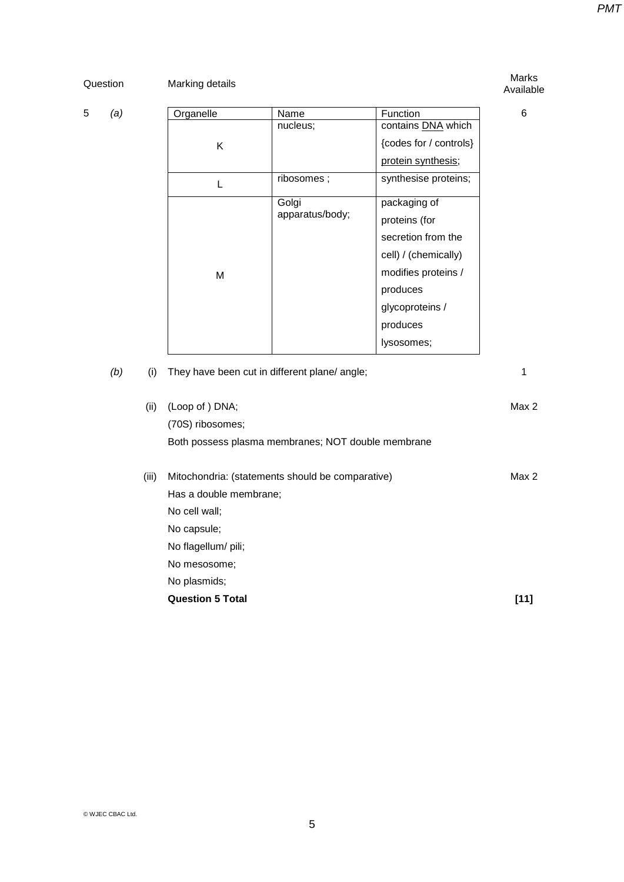Marks **Marking details** Marking of the Marks of the Marks of the Marks of the Marks of the Marks of the Marks of the Marks of the Marks of the Marks of the Marks of the Marking details of the Marking of the Marking of the

# Available

6

| 5 | (a) | Organelle | Name            | Function               |
|---|-----|-----------|-----------------|------------------------|
|   |     |           | nucleus;        | contains DNA which     |
|   |     | K         |                 | {codes for / controls} |
|   |     |           |                 | protein synthesis;     |
|   |     |           | ribosomes;      | synthesise proteins;   |
|   |     |           | Golgi           | packaging of           |
|   |     |           | apparatus/body; | proteins (for          |
|   |     |           |                 | secretion from the     |
|   |     |           |                 | cell) / (chemically)   |
|   |     | M         |                 | modifies proteins /    |
|   |     |           |                 | produces               |
|   |     |           |                 | glycoproteins /        |
|   |     |           |                 | produces               |
|   |     |           |                 | lysosomes;             |

| (b) | (i)   | They have been cut in different plane/ angle;      |       |
|-----|-------|----------------------------------------------------|-------|
|     | (ii)  | (Loop of ) DNA;                                    | Max 2 |
|     |       | (70S) ribosomes;                                   |       |
|     |       | Both possess plasma membranes; NOT double membrane |       |
|     | (iii) | Mitochondria: (statements should be comparative)   | Max 2 |
|     |       | Has a double membrane;                             |       |
|     |       | No cell wall:                                      |       |
|     |       | No capsule;                                        |       |
|     |       | No flagellum/ pili;                                |       |
|     |       | No mesosome:                                       |       |
|     |       | No plasmids;                                       |       |
|     |       | <b>Question 5 Total</b>                            | [11]  |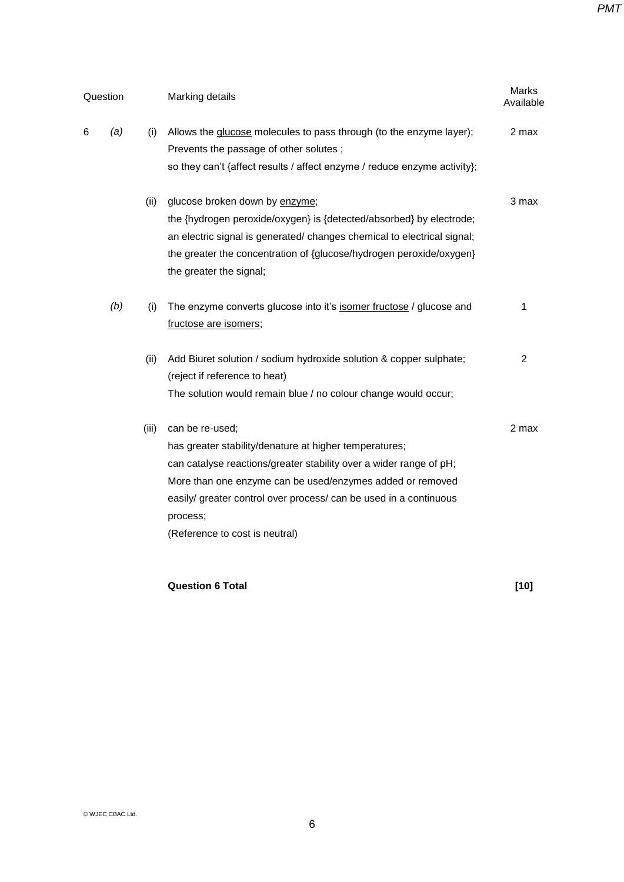|     |          | Marking details                                                                                                                                                                                                                                                                                                                 |                |
|-----|----------|---------------------------------------------------------------------------------------------------------------------------------------------------------------------------------------------------------------------------------------------------------------------------------------------------------------------------------|----------------|
| (a) | (i)      | Allows the glucose molecules to pass through (to the enzyme layer);<br>Prevents the passage of other solutes;<br>so they can't {affect results / affect enzyme / reduce enzyme activity};                                                                                                                                       | 2 max          |
|     | (ii)     | glucose broken down by enzyme;<br>the {hydrogen peroxide/oxygen} is {detected/absorbed} by electrode;<br>an electric signal is generated/ changes chemical to electrical signal;<br>the greater the concentration of {glucose/hydrogen peroxide/oxygen}<br>the greater the signal;                                              | 3 max          |
| (b) | (i)      | The enzyme converts glucose into it's isomer fructose / glucose and<br>fructose are isomers;                                                                                                                                                                                                                                    | 1              |
|     | (ii)     | Add Biuret solution / sodium hydroxide solution & copper sulphate;<br>(reject if reference to heat)<br>The solution would remain blue / no colour change would occur;                                                                                                                                                           | $\overline{2}$ |
|     | (iii)    | can be re-used;<br>has greater stability/denature at higher temperatures;<br>can catalyse reactions/greater stability over a wider range of pH;<br>More than one enzyme can be used/enzymes added or removed<br>easily/ greater control over process/ can be used in a continuous<br>process;<br>(Reference to cost is neutral) | 2 max          |
|     | Question |                                                                                                                                                                                                                                                                                                                                 |                |

# **Question 6 Total [10]**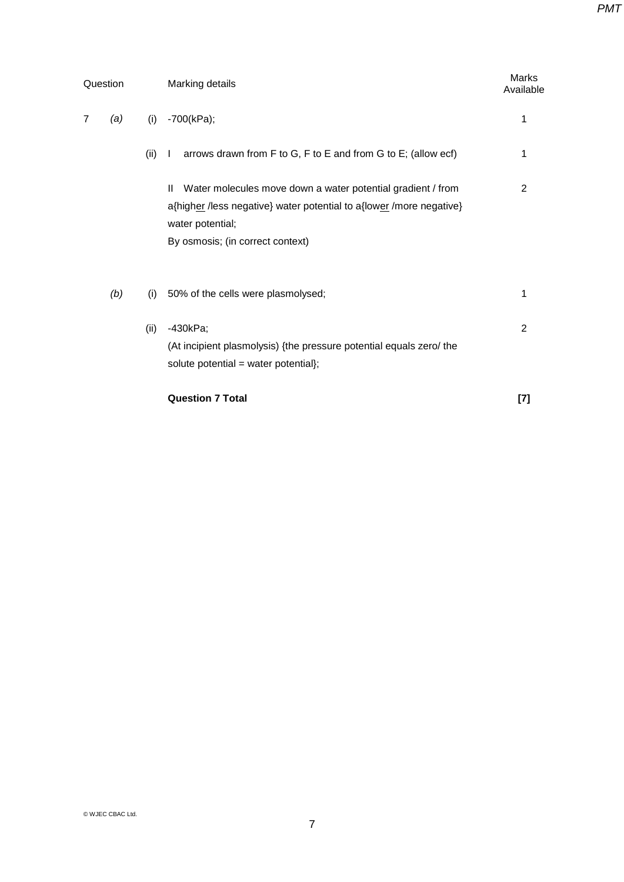| Question |     |      | Marking details                                                                                                                                                                                            | Marks<br>Available |  |
|----------|-----|------|------------------------------------------------------------------------------------------------------------------------------------------------------------------------------------------------------------|--------------------|--|
| 7        | (a) | (i)  | $-700(kPa);$                                                                                                                                                                                               | 1                  |  |
|          |     | (ii) | arrows drawn from F to G, F to E and from G to E; (allow ecf)<br>$\mathbf{I}$                                                                                                                              | 1                  |  |
|          |     |      | Water molecules move down a water potential gradient / from<br>$\mathbf{H}$<br>a{higher /less negative} water potential to a{lower /more negative}<br>water potential;<br>By osmosis; (in correct context) | $\overline{2}$     |  |
|          | (b) | (i)  | 50% of the cells were plasmolysed;                                                                                                                                                                         | 1                  |  |
|          |     | (ii) | -430kPa;<br>(At incipient plasmolysis) {the pressure potential equals zero/ the<br>solute potential = water potential};                                                                                    | $\overline{2}$     |  |
|          |     |      | <b>Question 7 Total</b>                                                                                                                                                                                    | [7]                |  |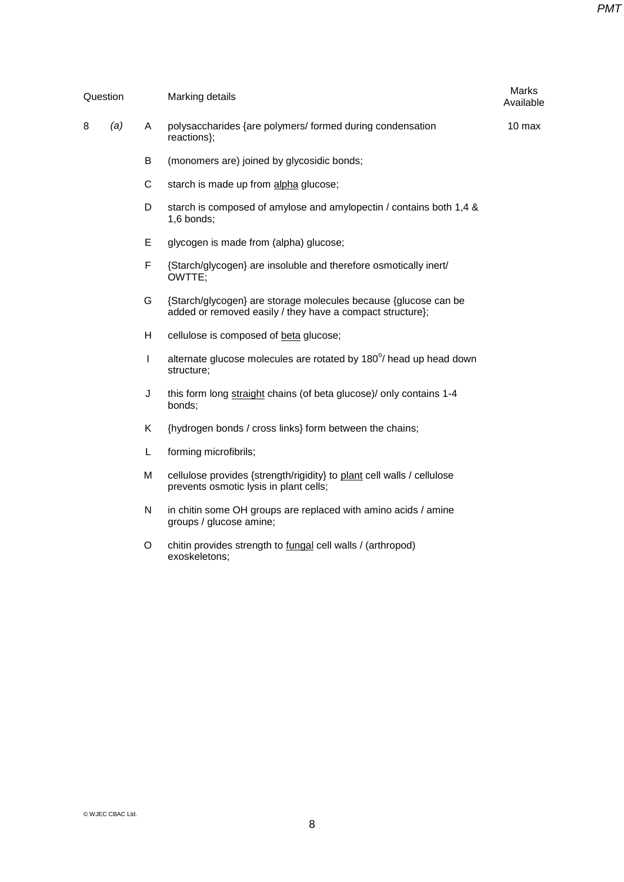| Question |     |   | Marking details                                                                                                              | Marks<br>Available |
|----------|-----|---|------------------------------------------------------------------------------------------------------------------------------|--------------------|
| 8        | (a) | A | polysaccharides {are polymers/ formed during condensation<br>reactions};                                                     | 10 max             |
|          |     | B | (monomers are) joined by glycosidic bonds;                                                                                   |                    |
|          |     | С | starch is made up from alpha glucose;                                                                                        |                    |
|          |     | D | starch is composed of amylose and amylopectin / contains both 1,4 &<br>1,6 bonds;                                            |                    |
|          |     | E | glycogen is made from (alpha) glucose;                                                                                       |                    |
|          |     | F | {Starch/glycogen} are insoluble and therefore osmotically inert/<br>OWTTE;                                                   |                    |
|          |     | G | {Starch/glycogen} are storage molecules because {glucose can be<br>added or removed easily / they have a compact structure}; |                    |
|          |     | H | cellulose is composed of beta glucose;                                                                                       |                    |
|          |     | L | alternate glucose molecules are rotated by 180°/ head up head down<br>structure;                                             |                    |
|          |     | J | this form long straight chains (of beta glucose)/ only contains 1-4<br>bonds;                                                |                    |
|          |     | K | {hydrogen bonds / cross links} form between the chains;                                                                      |                    |
|          |     | L | forming microfibrils;                                                                                                        |                    |
|          |     | M | cellulose provides {strength/rigidity} to plant cell walls / cellulose<br>prevents osmotic lysis in plant cells;             |                    |
|          |     | N | in chitin some OH groups are replaced with amino acids / amine<br>groups / glucose amine;                                    |                    |
|          |     |   |                                                                                                                              |                    |

O chitin provides strength to fungal cell walls / (arthropod) exoskeletons;